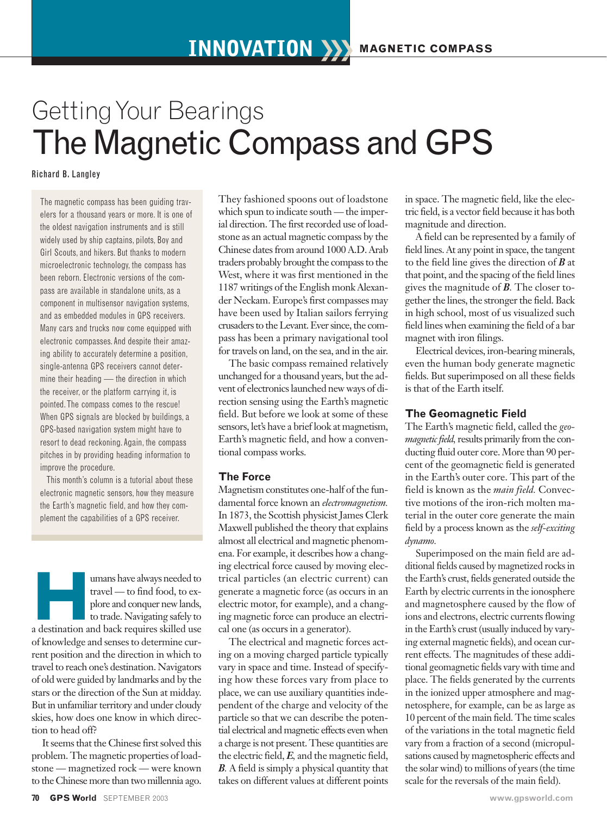# Getting Your Bearings The Magnetic Compass and GPS

Richard B. Langley

The magnetic compass has been guiding travelers for a thousand years or more. It is one of the oldest navigation instruments and is still widely used by ship captains, pilots, Boy and Girl Scouts, and hikers. But thanks to modern microelectronic technology, the compass has been reborn. Electronic versions of the compass are available in standalone units, as a component in multisensor navigation systems, and as embedded modules in GPS receivers. Many cars and trucks now come equipped with electronic compasses.And despite their amazing ability to accurately determine a position, single-antenna GPS receivers cannot determine their heading — the direction in which the receiver, or the platform carrying it, is pointed.The compass comes to the rescue! When GPS signals are blocked by buildings, a GPS-based navigation system might have to resort to dead reckoning. Again, the compass pitches in by providing heading information to improve the procedure.

This month's column is a tutorial about these electronic magnetic sensors, how they measure the Earth's magnetic field, and how they complement the capabilities of a GPS receiver.

**Humans have always needed to**<br> **Humans have a destination and conquer new lands,**<br> **Humans** to trade. Navigating safely to<br>
a destination and back requires skilled use travel — to find food, to explore and conquer new lands, to trade. Navigating safely to of knowledge and senses to determine current position and the direction in which to travel to reach one's destination. Navigators of old were guided by landmarks and by the stars or the direction of the Sun at midday. But in unfamiliar territory and under cloudy skies, how does one know in which direction to head off?

It seems that the Chinese first solved this problem. The magnetic properties of loadstone — magnetized rock — were known to the Chinese more than two millennia ago. They fashioned spoons out of loadstone which spun to indicate south — the imperial direction. The first recorded use of loadstone as an actual magnetic compass by the Chinese dates from around 1000 A.D. Arab traders probably brought the compass to the West, where it was first mentioned in the 1187 writings of the English monk Alexander Neckam. Europe's first compasses may have been used by Italian sailors ferrying crusaders to the Levant. Ever since, the compass has been a primary navigational tool for travels on land, on the sea, and in the air.

The basic compass remained relatively unchanged for a thousand years, but the advent of electronics launched new ways of direction sensing using the Earth's magnetic field. But before we look at some of these sensors, let's have a brief look at magnetism, Earth's magnetic field, and how a conventional compass works.

# **The Force**

Magnetism constitutes one-half of the fundamental force known an *electromagnetism.* In 1873, the Scottish physicist James Clerk Maxwell published the theory that explains almost all electrical and magnetic phenomena. For example, it describes how a changing electrical force caused by moving electrical particles (an electric current) can generate a magnetic force (as occurs in an electric motor, for example), and a changing magnetic force can produce an electrical one (as occurs in a generator).

The electrical and magnetic forces acting on a moving charged particle typically vary in space and time. Instead of specifying how these forces vary from place to place, we can use auxiliary quantities independent of the charge and velocity of the particle so that we can describe the potential electrical and magnetic effects even when a charge is not present. These quantities are the electric field, *E,* and the magnetic field, *B.* A field is simply a physical quantity that takes on different values at different points

in space. The magnetic field, like the electric field, is a vector field because it has both magnitude and direction.

A field can be represented by a family of field lines. At any point in space, the tangent to the field line gives the direction of *B* at that point, and the spacing of the field lines gives the magnitude of *B.* The closer together the lines, the stronger the field. Back in high school, most of us visualized such field lines when examining the field of a bar magnet with iron filings.

Electrical devices, iron-bearing minerals, even the human body generate magnetic fields. But superimposed on all these fields is that of the Earth itself.

# **The Geomagnetic Field**

The Earth's magnetic field, called the *geomagnetic field*, results primarily from the conducting fluid outer core. More than 90 percent of the geomagnetic field is generated in the Earth's outer core. This part of the field is known as the *main field.* Convective motions of the iron-rich molten material in the outer core generate the main field by a process known as the *self-exciting dynamo.*

Superimposed on the main field are additional fields caused by magnetized rocks in the Earth's crust, fields generated outside the Earth by electric currents in the ionosphere and magnetosphere caused by the flow of ions and electrons, electric currents flowing in the Earth's crust (usually induced by varying external magnetic fields), and ocean current effects. The magnitudes of these additional geomagnetic fields vary with time and place. The fields generated by the currents in the ionized upper atmosphere and magnetosphere, for example, can be as large as 10 percent of the main field. The time scales of the variations in the total magnetic field vary from a fraction of a second (micropulsations caused by magnetospheric effects and the solar wind) to millions of years (the time scale for the reversals of the main field).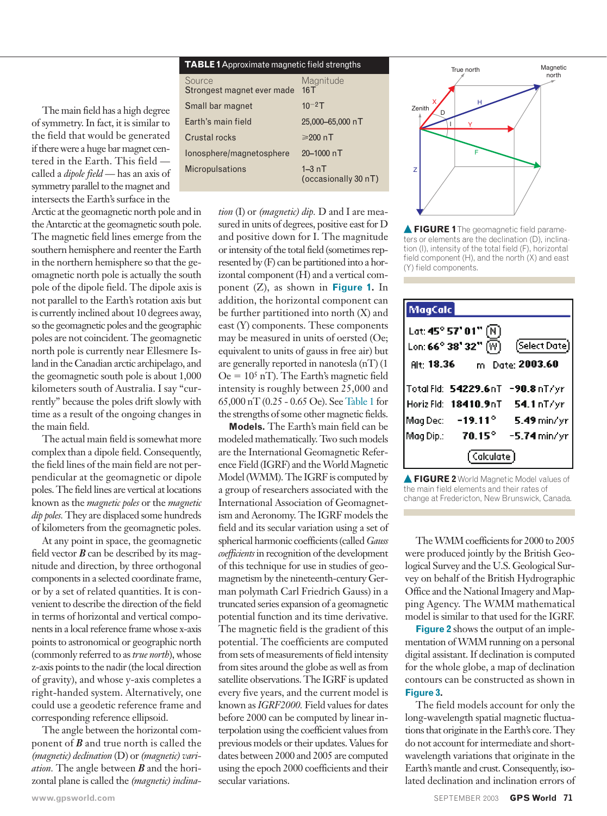The main field has a high degree of symmetry. In fact, it is similar to the field that would be generated if there were a huge bar magnet centered in the Earth. This field called a *dipole field* — has an axis of symmetry parallel to the magnet and intersects the Earth's surface in the

Arctic at the geomagnetic north pole and in the Antarctic at the geomagnetic south pole. The magnetic field lines emerge from the southern hemisphere and reenter the Earth in the northern hemisphere so that the geomagnetic north pole is actually the south pole of the dipole field. The dipole axis is not parallel to the Earth's rotation axis but is currently inclined about 10 degrees away, so the geomagnetic poles and the geographic poles are not coincident. The geomagnetic north pole is currently near Ellesmere Island in the Canadian arctic archipelago, and the geomagnetic south pole is about 1,000 kilometers south of Australia. I say "currently" because the poles drift slowly with time as a result of the ongoing changes in the main field.

The actual main field is somewhat more complex than a dipole field. Consequently, the field lines of the main field are not perpendicular at the geomagnetic or dipole poles. The field lines are vertical at locations known as the *magnetic poles* or the *magnetic dip poles.* They are displaced some hundreds of kilometers from the geomagnetic poles.

At any point in space, the geomagnetic field vector  $\bm{B}$  can be described by its magnitude and direction, by three orthogonal components in a selected coordinate frame, or by a set of related quantities. It is convenient to describe the direction of the field in terms of horizontal and vertical components in a local reference frame whose x-axis points to astronomical or geographic north (commonly referred to as *true north*), whose z-axis points to the nadir (the local direction of gravity), and whose y-axis completes a right-handed system. Alternatively, one could use a geodetic reference frame and corresponding reference ellipsoid.

The angle between the horizontal component of *B* and true north is called the *(magnetic) declination* (D) or *(magnetic) variation.* The angle between *B* and the horizontal plane is called the *(magnetic) inclina-*

| <b>TABLE 1</b> Approximate magnetic field strengths |                                   |  |
|-----------------------------------------------------|-----------------------------------|--|
| Source<br>Strongest magnet ever made                | Magnitude<br>16T                  |  |
| Small bar magnet                                    | $10^{-2}$ T                       |  |
| Earth's main field                                  | 25,000-65,000 nT                  |  |
| <b>Crustal rocks</b>                                | $≥200$ nT                         |  |
| Ionosphere/magnetosphere                            | 20-1000 nT                        |  |
| <b>Micropulsations</b>                              | $1 - 3nT$<br>(occasionally 30 nT) |  |

*tion* (I) or *(magnetic) dip.* D and I are measured in units of degrees, positive east for D and positive down for I. The magnitude or intensity of the total field (sometimes represented by (F) can be partitioned into a horizontal component (H) and a vertical component (Z), as shown in **Figure 1.** In addition, the horizontal component can be further partitioned into north (X) and east (Y) components. These components may be measured in units of oersted (Oe; equivalent to units of gauss in free air) but are generally reported in nanotesla (nT) (1  $Oe = 10<sup>5</sup>$  nT). The Earth's magnetic field intensity is roughly between 25,000 and 65,000 nT (0.25 - 0.65 Oe). See Table 1 for the strengths of some other magnetic fields.

**Models.** The Earth's main field can be modeled mathematically. Two such models are the International Geomagnetic Reference Field (IGRF) and the World Magnetic Model (WMM). The IGRF is computed by a group of researchers associated with the International Association of Geomagnetism and Aeronomy. The IGRF models the field and its secular variation using a set of spherical harmonic coefficients (called *Gauss coefficients* in recognition of the development of this technique for use in studies of geomagnetism by the nineteenth-century German polymath Carl Friedrich Gauss) in a truncated series expansion of a geomagnetic potential function and its time derivative. The magnetic field is the gradient of this potential. The coefficients are computed from sets of measurements of field intensity from sites around the globe as well as from satellite observations. The IGRF is updated every five years, and the current model is known as *IGRF2000.* Field values for dates before 2000 can be computed by linear interpolation using the coefficient values from previous models or their updates. Values for dates between 2000 and 2005 are computed using the epoch 2000 coefficients and their secular variations.



**FIGURE 1** The geomagnetic field parameters or elements are the declination (D), inclination (I), intensity of the total field (F), horizontal field component (H), and the north (X) and east (Y) field components.

| MagCalc                                    |                                            |                                 |
|--------------------------------------------|--------------------------------------------|---------------------------------|
| Lat: 45° 57' 01" $(\overline{\textrm{N}})$ |                                            |                                 |
|                                            | Lon: 66° 38' 32" $(\overline{\mathsf{W}})$ | (Select Date)                   |
| Alt 18.36                                  | m                                          | Date: 2003.60                   |
|                                            |                                            | Total Fld: 54229.6nT -90.8nT/yr |
|                                            | Horiz Fld: 18410.9nT                       | 54.1 nT/yr                      |
| Mag Dec: L                                 | $-19.11^{\circ}$                           | 5.49 min/yr                     |
| Mag Dip.:                                  | $70.15^\circ$                              | $-5.74$ min/yr                  |
| ' Calculate '                              |                                            |                                 |

**FIGURE 2** World Magnetic Model values of the main field elements and their rates of change at Fredericton, New Brunswick, Canada.

The WMM coefficients for 2000 to 2005 were produced jointly by the British Geological Survey and the U.S. Geological Survey on behalf of the British Hydrographic Office and the National Imagery and Mapping Agency. The WMM mathematical model is similar to that used for the IGRF.

**Figure 2** shows the output of an implementation of WMM running on a personal digital assistant. If declination is computed for the whole globe, a map of declination contours can be constructed as shown in **Figure 3.**

The field models account for only the long-wavelength spatial magnetic fluctuations that originate in the Earth's core. They do not account for intermediate and shortwavelength variations that originate in the Earth's mantle and crust. Consequently, isolated declination and inclination errors of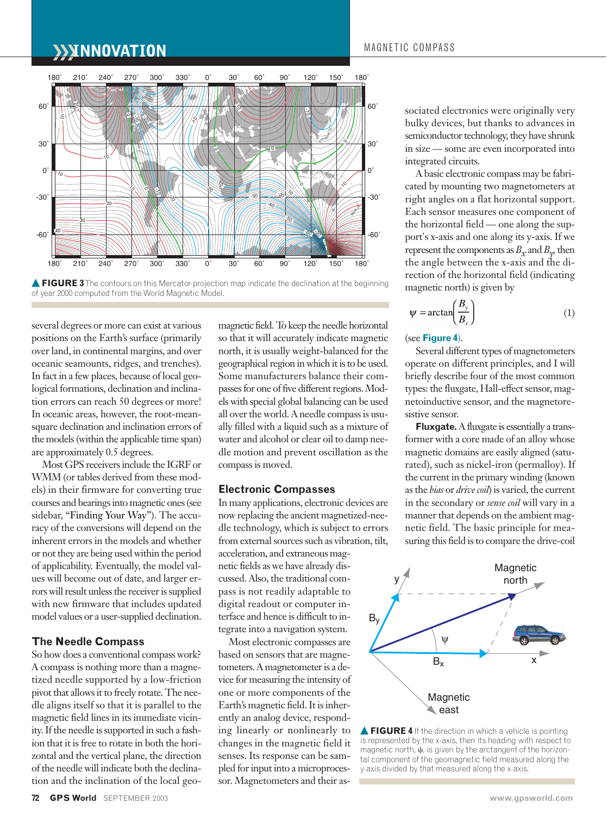# **INNOVATION** MAGNETIC COMPASS



**FIGURE 3** The contours on this Mercator-projection map indicate the declination at the beginning of year 2000 computed from the World Magnetic Model.

several degrees or more can exist at various positions on the Earth's surface (primarily over land, in continental margins, and over oceanic seamounts, ridges, and trenches). In fact in a few places, because of local geological formations, declination and inclination errors can reach 50 degrees or more! In oceanic areas, however, the root-meansquare declination and inclination errors of the models (within the applicable time span) are approximately 0.5 degrees.

Most GPS receivers include the IGRF or WMM (or tables derived from these models) in their firmware for converting true courses and bearings into magnetic ones (see sidebar, "Finding Your Way"). The accuracy of the conversions will depend on the inherent errors in the models and whether or not they are being used within the period of applicability. Eventually, the model values will become out of date, and larger errors will result unless the receiver is supplied with new firmware that includes updated model values or a user-supplied declination.

# **The Needle Compass**

So how does a conventional compass work? A compass is nothing more than a magnetized needle supported by a low-friction pivot that allows it to freely rotate. The needle aligns itself so that it is parallel to the magnetic field lines in its immediate vicinity. If the needle is supported in such a fashion that it is free to rotate in both the horizontal and the vertical plane, the direction of the needle will indicate both the declination and the inclination of the local geomagnetic field. To keep the needle horizontal so that it will accurately indicate magnetic north, it is usually weight-balanced for the geographical region in which it is to be used. Some manufacturers balance their compasses for one of five different regions. Models with special global balancing can be used all over the world. A needle compass is usually filled with a liquid such as a mixture of water and alcohol or clear oil to damp needle motion and prevent oscillation as the compass is moved.

## **Electronic Compasses**

In many applications, electronic devices are now replacing the ancient magnetized-needle technology, which is subject to errors from external sources such as vibration, tilt, acceleration, and extraneous magnetic fields as we have already discussed. Also, the traditional compass is not readily adaptable to digital readout or computer interface and hence is difficult to in-

tegrate into a navigation system. Most electronic compasses are based on sensors that are magnetometers. A magnetometer is a device for measuring the intensity of one or more components of the Earth's magnetic field. It is inherently an analog device, responding linearly or nonlinearly to changes in the magnetic field it senses. Its response can be sampled for input into a microprocessor. Magnetometers and their associated electronics were originally very bulky devices, but thanks to advances in semiconductor technology, they have shrunk in size — some are even incorporated into integrated circuits.

A basic electronic compass may be fabricated by mounting two magnetometers at right angles on a flat horizontal support. Each sensor measures one component of the horizontal field — one along the support's x-axis and one along its y-axis. If we represent the components as  $B<sub>x</sub>$  and  $B<sub>y</sub>$ , then the angle between the x-axis and the direction of the horizontal field (indicating magnetic north) is given by

$$
\psi = \arctan\left(\frac{B_y}{B_x}\right) \tag{1}
$$

# (see **Figure 4**).

Several different types of magnetometers operate on different principles, and I will briefly describe four of the most common types: the fluxgate, Hall-effect sensor, magnetoinductive sensor, and the magnetoresistive sensor.

**Fluxgate.**A fluxgate is essentially a transformer with a core made of an alloy whose magnetic domains are easily aligned (saturated), such as nickel-iron (permalloy). If the current in the primary winding (known as the *bias* or *drive coil*) is varied, the current in the secondary or *sense coil* will vary in a manner that depends on the ambient magnetic field. The basic principle for measuring this field is to compare the drive-coil



**FIGURE 4** If the direction in which a vehicle is pointing is represented by the x-axis, then its heading with respect to magnetic north,  $\psi$ , is given by the arctangent of the horizontal component of the geomagnetic field measured along the y-axis divided by that measured along the x-axis.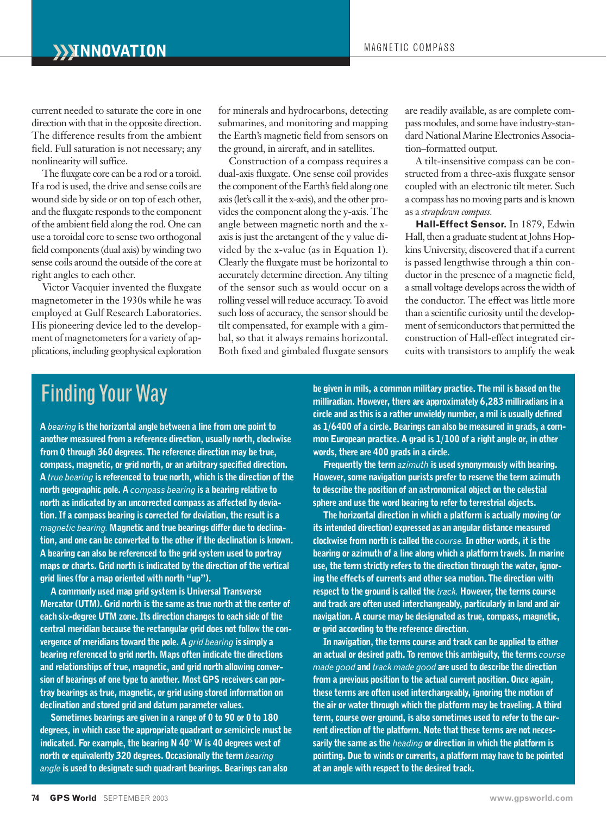current needed to saturate the core in one direction with that in the opposite direction. The difference results from the ambient field. Full saturation is not necessary; any nonlinearity will suffice.

The fluxgate core can be a rod or a toroid. If a rod is used, the drive and sense coils are wound side by side or on top of each other, and the fluxgate responds to the component of the ambient field along the rod. One can use a toroidal core to sense two orthogonal field components (dual axis) by winding two sense coils around the outside of the core at right angles to each other.

Victor Vacquier invented the fluxgate magnetometer in the 1930s while he was employed at Gulf Research Laboratories. His pioneering device led to the development of magnetometers for a variety of applications, including geophysical exploration

for minerals and hydrocarbons, detecting submarines, and monitoring and mapping the Earth's magnetic field from sensors on the ground, in aircraft, and in satellites.

Construction of a compass requires a dual-axis fluxgate. One sense coil provides the component of the Earth's field along one axis (let's call it the x-axis), and the other provides the component along the y-axis. The angle between magnetic north and the xaxis is just the arctangent of the y value divided by the x-value (as in Equation 1). Clearly the fluxgate must be horizontal to accurately determine direction. Any tilting of the sensor such as would occur on a rolling vessel will reduce accuracy. To avoid such loss of accuracy, the sensor should be tilt compensated, for example with a gimbal, so that it always remains horizontal. Both fixed and gimbaled fluxgate sensors

are readily available, as are complete compass modules, and some have industry-standard National Marine Electronics Association–formatted output.

A tilt-insensitive compass can be constructed from a three-axis fluxgate sensor coupled with an electronic tilt meter. Such a compass has no moving parts and is known as a *strapdown compass.*

**Hall-Effect Sensor.** In 1879, Edwin Hall, then a graduate student at Johns Hopkins University, discovered that if a current is passed lengthwise through a thin conductor in the presence of a magnetic field, a small voltage develops across the width of the conductor. The effect was little more than a scientific curiosity until the development of semiconductors that permitted the construction of Hall-effect integrated circuits with transistors to amplify the weak

# Finding Your Way

**A** *bearing* **is the horizontal angle between a line from one point to another measured from a reference direction, usually north, clockwise from 0 through 360 degrees. The reference direction may be true, compass, magnetic, or grid north, or an arbitrary specified direction. A** *true bearing* **is referenced to true north, which is the direction of the north geographic pole. A** *compass bearing* **is a bearing relative to north as indicated by an uncorrected compass as affected by deviation. If a compass bearing is corrected for deviation, the result is a** *magnetic bearing.* **Magnetic and true bearings differ due to declination, and one can be converted to the other if the declination is known. A bearing can also be referenced to the grid system used to portray maps or charts. Grid north is indicated by the direction of the vertical grid lines (for a map oriented with north "up").** 

**A commonly used map grid system is Universal Transverse Mercator (UTM). Grid north is the same as true north at the center of each six-degree UTM zone. Its direction changes to each side of the central meridian because the rectangular grid does not follow the convergence of meridians toward the pole. A** *grid bearing* **is simply a bearing referenced to grid north. Maps often indicate the directions and relationships of true, magnetic, and grid north allowing conversion of bearings of one type to another. Most GPS receivers can portray bearings as true, magnetic, or grid using stored information on declination and stored grid and datum parameter values.** 

**Sometimes bearings are given in a range of 0 to 90 or 0 to 180 degrees, in which case the appropriate quadrant or semicircle must be indicated. For example, the bearing N 40 W is 40 degrees west of north or equivalently 320 degrees. Occasionally the term** *bearing angle* **is used to designate such quadrant bearings. Bearings can also**

**be given in mils, a common military practice. The mil is based on the milliradian. However, there are approximately 6,283 milliradians in a circle and as this is a rather unwieldy number, a mil is usually defined as 1/6400 of a circle. Bearings can also be measured in grads, a common European practice. A grad is 1/100 of a right angle or, in other words, there are 400 grads in a circle.**

**Frequently the term** *azimuth* **is used synonymously with bearing. However, some navigation purists prefer to reserve the term azimuth to describe the position of an astronomical object on the celestial sphere and use the word bearing to refer to terrestrial objects.** 

**The horizontal direction in which a platform is actually moving (or its intended direction) expressed as an angular distance measured clockwise from north is called the** *course.***In other words, it is the bearing or azimuth of a line along which a platform travels. In marine use, the term strictly refers to the direction through the water, ignoring the effects of currents and other sea motion. The direction with respect to the ground is called the** *track.* **However, the terms course and track are often used interchangeably, particularly in land and air navigation. A course may be designated as true, compass, magnetic, or grid according to the reference direction.** 

**In navigation, the terms course and track can be applied to either an actual or desired path. To remove this ambiguity, the terms** *course made good* **and** *track made good* **are used to describe the direction from a previous position to the actual current position. Once again, these terms are often used interchangeably, ignoring the motion of the air or water through which the platform may be traveling. A third term, course over ground, is also sometimes used to refer to the current direction of the platform. Note that these terms are not necessarily the same as the** *heading* **or direction in which the platform is pointing. Due to winds or currents, a platform may have to be pointed at an angle with respect to the desired track.**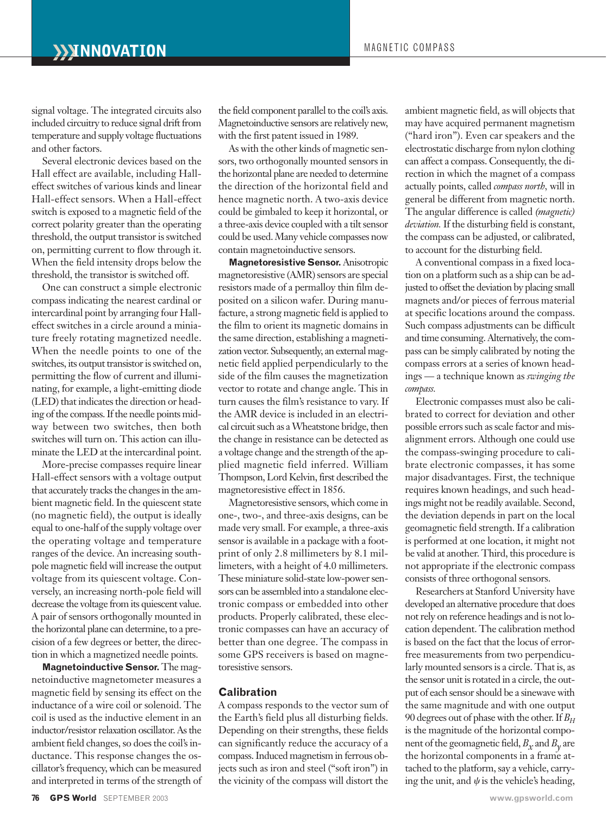signal voltage. The integrated circuits also included circuitry to reduce signal drift from temperature and supply voltage fluctuations and other factors.

Several electronic devices based on the Hall effect are available, including Halleffect switches of various kinds and linear Hall-effect sensors. When a Hall-effect switch is exposed to a magnetic field of the correct polarity greater than the operating threshold, the output transistor is switched on, permitting current to flow through it. When the field intensity drops below the threshold, the transistor is switched off.

One can construct a simple electronic compass indicating the nearest cardinal or intercardinal point by arranging four Halleffect switches in a circle around a miniature freely rotating magnetized needle. When the needle points to one of the switches, its output transistor is switched on, permitting the flow of current and illuminating, for example, a light-emitting diode (LED) that indicates the direction or heading of the compass. If the needle points midway between two switches, then both switches will turn on. This action can illuminate the LED at the intercardinal point.

More-precise compasses require linear Hall-effect sensors with a voltage output that accurately tracks the changes in the ambient magnetic field. In the quiescent state (no magnetic field), the output is ideally equal to one-half of the supply voltage over the operating voltage and temperature ranges of the device. An increasing southpole magnetic field will increase the output voltage from its quiescent voltage. Conversely, an increasing north-pole field will decrease the voltage from its quiescent value. A pair of sensors orthogonally mounted in the horizontal plane can determine, to a precision of a few degrees or better, the direction in which a magnetized needle points.

**Magnetoinductive Sensor.** The magnetoinductive magnetometer measures a magnetic field by sensing its effect on the inductance of a wire coil or solenoid. The coil is used as the inductive element in an inductor/resistor relaxation oscillator. As the ambient field changes, so does the coil's inductance. This response changes the oscillator's frequency, which can be measured and interpreted in terms of the strength of the field component parallel to the coil's axis. Magnetoinductive sensors are relatively new, with the first patent issued in 1989.

As with the other kinds of magnetic sensors, two orthogonally mounted sensors in the horizontal plane are needed to determine the direction of the horizontal field and hence magnetic north. A two-axis device could be gimbaled to keep it horizontal, or a three-axis device coupled with a tilt sensor could be used. Many vehicle compasses now contain magnetoinductive sensors.

**Magnetoresistive Sensor.**Anisotropic magnetoresistive (AMR) sensors are special resistors made of a permalloy thin film deposited on a silicon wafer. During manufacture, a strong magnetic field is applied to the film to orient its magnetic domains in the same direction, establishing a magnetization vector. Subsequently, an external magnetic field applied perpendicularly to the side of the film causes the magnetization vector to rotate and change angle. This in turn causes the film's resistance to vary. If the AMR device is included in an electrical circuit such as a Wheatstone bridge, then the change in resistance can be detected as a voltage change and the strength of the applied magnetic field inferred. William Thompson, Lord Kelvin, first described the magnetoresistive effect in 1856.

Magnetoresistive sensors, which come in one-, two-, and three-axis designs, can be made very small. For example, a three-axis sensor is available in a package with a footprint of only 2.8 millimeters by 8.1 millimeters, with a height of 4.0 millimeters. These miniature solid-state low-power sensors can be assembled into a standalone electronic compass or embedded into other products. Properly calibrated, these electronic compasses can have an accuracy of better than one degree. The compass in some GPS receivers is based on magnetoresistive sensors.

# **Calibration**

A compass responds to the vector sum of the Earth's field plus all disturbing fields. Depending on their strengths, these fields can significantly reduce the accuracy of a compass. Induced magnetism in ferrous objects such as iron and steel ("soft iron") in the vicinity of the compass will distort the

ambient magnetic field, as will objects that may have acquired permanent magnetism ("hard iron"). Even car speakers and the electrostatic discharge from nylon clothing can affect a compass. Consequently, the direction in which the magnet of a compass actually points, called *compass north,* will in general be different from magnetic north. The angular difference is called *(magnetic) deviation.* If the disturbing field is constant, the compass can be adjusted, or calibrated, to account for the disturbing field.

A conventional compass in a fixed location on a platform such as a ship can be adjusted to offset the deviation by placing small magnets and/or pieces of ferrous material at specific locations around the compass. Such compass adjustments can be difficult and time consuming. Alternatively, the compass can be simply calibrated by noting the compass errors at a series of known headings — a technique known as *swinging the compass.*

Electronic compasses must also be calibrated to correct for deviation and other possible errors such as scale factor and misalignment errors. Although one could use the compass-swinging procedure to calibrate electronic compasses, it has some major disadvantages. First, the technique requires known headings, and such headings might not be readily available. Second, the deviation depends in part on the local geomagnetic field strength. If a calibration is performed at one location, it might not be valid at another. Third, this procedure is not appropriate if the electronic compass consists of three orthogonal sensors.

Researchers at Stanford University have developed an alternative procedure that does not rely on reference headings and is not location dependent. The calibration method is based on the fact that the locus of errorfree measurements from two perpendicularly mounted sensors is a circle. That is, as the sensor unit is rotated in a circle, the output of each sensor should be a sinewave with the same magnitude and with one output 90 degrees out of phase with the other. If *BH* is the magnitude of the horizontal component of the geomagnetic field,  $B<sub>x</sub>$  and  $B<sub>y</sub>$  are the horizontal components in a frame attached to the platform, say a vehicle, carrying the unit, and  $\psi$  is the vehicle's heading,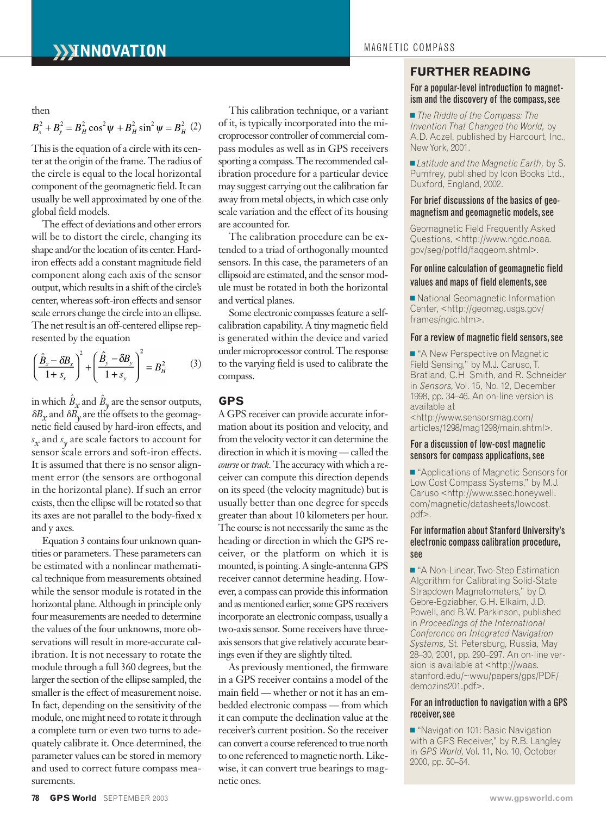#### then

$$
B_x^2 + B_y^2 = B_H^2 \cos^2 \psi + B_H^2 \sin^2 \psi = B_H^2
$$
 (2)

This is the equation of a circle with its center at the origin of the frame. The radius of the circle is equal to the local horizontal component of the geomagnetic field. It can usually be well approximated by one of the global field models.

The effect of deviations and other errors will be to distort the circle, changing its shape and/or the location of its center. Hardiron effects add a constant magnitude field component along each axis of the sensor output, which results in a shift of the circle's center, whereas soft-iron effects and sensor scale errors change the circle into an ellipse. The net result is an off-centered ellipse represented by the equation

$$
\left(\frac{\hat{B}_x - \delta B_x}{1 + s_x}\right)^2 + \left(\frac{\hat{B}_y - \delta B_y}{1 + s_y}\right)^2 = B_H^2 \tag{3}
$$

in which  $\hat{B}_x$  and  $\hat{B}_y$  are the sensor outputs,  $\delta B_x$  and  $\delta B_y$  are the offsets to the geomagnetic field caused by hard-iron effects, and *s x* and *s y* are scale factors to account for sensor scale errors and soft-iron effects. It is assumed that there is no sensor alignment error (the sensors are orthogonal in the horizontal plane). If such an error exists, then the ellipse will be rotated so that its axes are not parallel to the body-fixed x and y axes.

Equation 3 contains four unknown quantities or parameters. These parameters can be estimated with a nonlinear mathematical technique from measurements obtained while the sensor module is rotated in the horizontal plane. Although in principle only four measurements are needed to determine the values of the four unknowns, more observations will result in more-accurate calibration. It is not necessary to rotate the module through a full 360 degrees, but the larger the section of the ellipse sampled, the smaller is the effect of measurement noise. In fact, depending on the sensitivity of the module, one might need to rotate it through a complete turn or even two turns to adequately calibrate it. Once determined, the parameter values can be stored in memory and used to correct future compass measurements.

This calibration technique, or a variant of it, is typically incorporated into the microprocessor controller of commercial compass modules as well as in GPS receivers sporting a compass. The recommended calibration procedure for a particular device may suggest carrying out the calibration far away from metal objects, in which case only scale variation and the effect of its housing are accounted for.

The calibration procedure can be extended to a triad of orthogonally mounted sensors. In this case, the parameters of an ellipsoid are estimated, and the sensor module must be rotated in both the horizontal and vertical planes.

Some electronic compasses feature a selfcalibration capability. A tiny magnetic field is generated within the device and varied under microprocessor control. The response to the varying field is used to calibrate the compass.

# **GPS**

A GPS receiver can provide accurate information about its position and velocity, and from the velocity vector it can determine the direction in which it is moving — called the *course* or *track.* The accuracy with which a receiver can compute this direction depends on its speed (the velocity magnitude) but is usually better than one degree for speeds greater than about 10 kilometers per hour. The course is not necessarily the same as the heading or direction in which the GPS receiver, or the platform on which it is mounted, is pointing. A single-antenna GPS receiver cannot determine heading. However, a compass can provide this information and as mentioned earlier, some GPS receivers incorporate an electronic compass, usually a two-axis sensor. Some receivers have threeaxis sensors that give relatively accurate bearings even if they are slightly tilted.

As previously mentioned, the firmware in a GPS receiver contains a model of the main field — whether or not it has an embedded electronic compass — from which it can compute the declination value at the receiver's current position. So the receiver can convert a course referenced to true north to one referenced to magnetic north. Likewise, it can convert true bearings to magnetic ones.

# **FURTHER READING**

# For a popular-level introduction to magnetism and the discovery of the compass, see

■ *The Riddle of the Compass: The Invention That Changed the World,* by A.D. Aczel, published by Harcourt, Inc., New York, 2001.

- *Latitude and the Magnetic Earth,* by S. Pumfrey, published by Icon Books Ltd., Duxford, England, 2002.

### For brief discussions of the basics of geomagnetism and geomagnetic models,see

Geomagnetic Field Frequently Asked Questions, <http://www.ngdc.noaa. gov/seg/potfld/faqgeom.shtml>.

# For online calculation of geomagnetic field values and maps of field elements,see

■ National Geomagnetic Information Center, <http://geomag.usgs.gov/ frames/ngic.htm>.

# For a review of magnetic field sensors, see

■ "A New Perspective on Magnetic Field Sensing," by M.J. Caruso, T. Bratland, C.H. Smith, and R. Schneider in *Sensors*, Vol. 15, No. 12, December 1998, pp. 34–46. An on-line version is available at

<http://www.sensorsmag.com/ articles/1298/mag1298/main.shtml>.

# For a discussion of low-cost magnetic sensors for compass applications, see

■ "Applications of Magnetic Sensors for Low Cost Compass Systems," by M.J. Caruso <http://www.ssec.honeywell. com/magnetic/datasheets/lowcost. pdf>.

# For information about Stanford University's electronic compass calibration procedure, see

■ "A Non-Linear, Two-Step Estimation Algorithm for Calibrating Solid-State Strapdown Magnetometers," by D. Gebre-Egziabher, G.H. Elkaim, J.D. Powell, and B.W. Parkinson, published in *Proceedings of the International Conference on Integrated Navigation Systems,* St. Petersburg, Russia, May 28–30, 2001, pp. 290–297. An on-line version is available at <http://waas. stanford.edu/~wwu/papers/gps/PDF/ demozins201.pdf>.

# For an introduction to navigation with a GPS receiver,see

■ "Navigation 101: Basic Navigation with a GPS Receiver," by R.B. Langley in *GPS World, Vol.* 11, No. 10, October 2000, pp. 50–54.